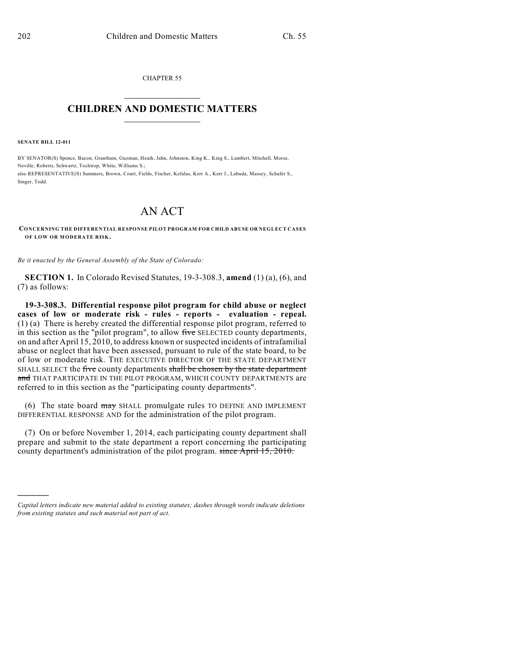CHAPTER 55  $\mathcal{L}_\text{max}$  . The set of the set of the set of the set of the set of the set of the set of the set of the set of the set of the set of the set of the set of the set of the set of the set of the set of the set of the set

## **CHILDREN AND DOMESTIC MATTERS**  $\_$

**SENATE BILL 12-011**

)))))

BY SENATOR(S) Spence, Bacon, Grantham, Guzman, Heath, Jahn, Johnston, King K., King S., Lambert, Mitchell, Morse, Neville, Roberts, Schwartz, Tochtrop, White, Williams S.; also REPRESENTATIVE(S) Summers, Brown, Court, Fields, Fischer, Kefalas, Kerr A., Kerr J., Labuda, Massey, Schafer S., Singer, Todd.

## AN ACT

**CONCERNING THE DIFFERENTIAL RESPONSE PILOT PROGRAM FOR CHILD ABUSE OR NEGLECT CASES OF LOW OR MODERATE RISK.**

*Be it enacted by the General Assembly of the State of Colorado:*

**SECTION 1.** In Colorado Revised Statutes, 19-3-308.3, **amend** (1) (a), (6), and (7) as follows:

**19-3-308.3. Differential response pilot program for child abuse or neglect cases of low or moderate risk - rules - reports - evaluation - repeal.** (1) (a) There is hereby created the differential response pilot program, referred to in this section as the "pilot program", to allow five SELECTED county departments, on and after April 15, 2010, to address known orsuspected incidents of intrafamilial abuse or neglect that have been assessed, pursuant to rule of the state board, to be of low or moderate risk. THE EXECUTIVE DIRECTOR OF THE STATE DEPARTMENT SHALL SELECT the five county departments shall be chosen by the state department and THAT PARTICIPATE IN THE PILOT PROGRAM, WHICH COUNTY DEPARTMENTS are referred to in this section as the "participating county departments".

(6) The state board may SHALL promulgate rules TO DEFINE AND IMPLEMENT DIFFERENTIAL RESPONSE AND for the administration of the pilot program.

(7) On or before November 1, 2014, each participating county department shall prepare and submit to the state department a report concerning the participating county department's administration of the pilot program. since April 15, 2010.

*Capital letters indicate new material added to existing statutes; dashes through words indicate deletions from existing statutes and such material not part of act.*